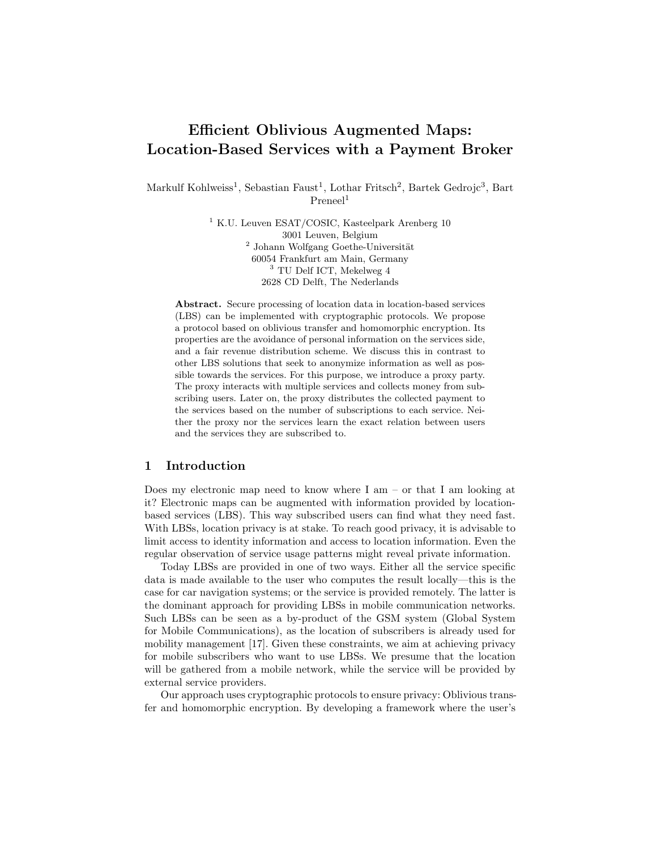# Efficient Oblivious Augmented Maps: Location-Based Services with a Payment Broker

Markulf Kohlweiss<sup>1</sup>, Sebastian Faust<sup>1</sup>, Lothar Fritsch<sup>2</sup>, Bartek Gedrojc<sup>3</sup>, Bart  $Preneel<sup>1</sup>$ 

> <sup>1</sup> K.U. Leuven ESAT/COSIC, Kasteelpark Arenberg 10 3001 Leuven, Belgium  $2$  Johann Wolfgang Goethe-Universität 60054 Frankfurt am Main, Germany <sup>3</sup> TU Delf ICT, Mekelweg 4 2628 CD Delft, The Nederlands

Abstract. Secure processing of location data in location-based services (LBS) can be implemented with cryptographic protocols. We propose a protocol based on oblivious transfer and homomorphic encryption. Its properties are the avoidance of personal information on the services side, and a fair revenue distribution scheme. We discuss this in contrast to other LBS solutions that seek to anonymize information as well as possible towards the services. For this purpose, we introduce a proxy party. The proxy interacts with multiple services and collects money from subscribing users. Later on, the proxy distributes the collected payment to the services based on the number of subscriptions to each service. Neither the proxy nor the services learn the exact relation between users and the services they are subscribed to.

# 1 Introduction

Does my electronic map need to know where  $I$  am – or that  $I$  am looking at it? Electronic maps can be augmented with information provided by locationbased services (LBS). This way subscribed users can find what they need fast. With LBSs, location privacy is at stake. To reach good privacy, it is advisable to limit access to identity information and access to location information. Even the regular observation of service usage patterns might reveal private information.

Today LBSs are provided in one of two ways. Either all the service specific data is made available to the user who computes the result locally—this is the case for car navigation systems; or the service is provided remotely. The latter is the dominant approach for providing LBSs in mobile communication networks. Such LBSs can be seen as a by-product of the GSM system (Global System for Mobile Communications), as the location of subscribers is already used for mobility management [17]. Given these constraints, we aim at achieving privacy for mobile subscribers who want to use LBSs. We presume that the location will be gathered from a mobile network, while the service will be provided by external service providers.

Our approach uses cryptographic protocols to ensure privacy: Oblivious transfer and homomorphic encryption. By developing a framework where the user's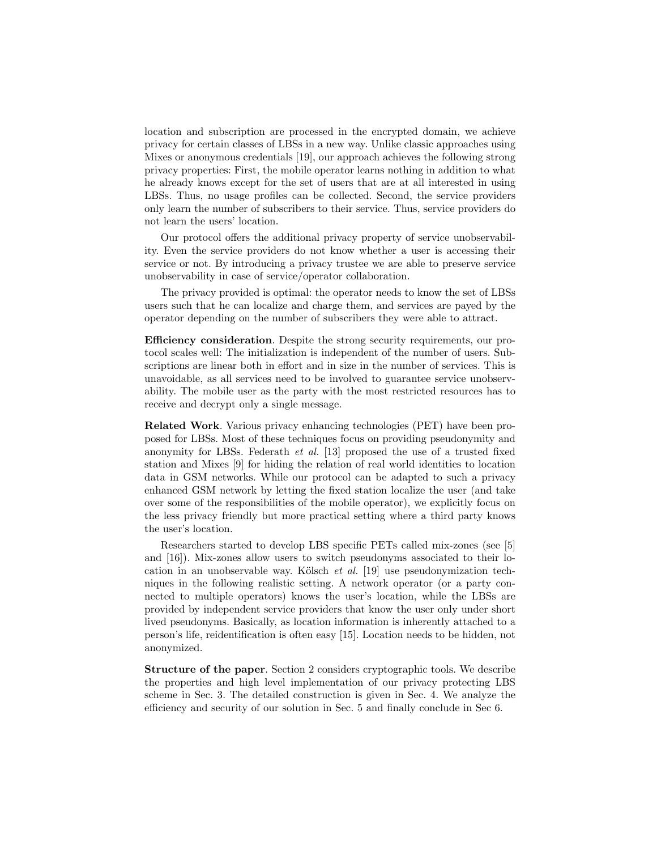location and subscription are processed in the encrypted domain, we achieve privacy for certain classes of LBSs in a new way. Unlike classic approaches using Mixes or anonymous credentials [19], our approach achieves the following strong privacy properties: First, the mobile operator learns nothing in addition to what he already knows except for the set of users that are at all interested in using LBSs. Thus, no usage profiles can be collected. Second, the service providers only learn the number of subscribers to their service. Thus, service providers do not learn the users' location.

Our protocol offers the additional privacy property of service unobservability. Even the service providers do not know whether a user is accessing their service or not. By introducing a privacy trustee we are able to preserve service unobservability in case of service/operator collaboration.

The privacy provided is optimal: the operator needs to know the set of LBSs users such that he can localize and charge them, and services are payed by the operator depending on the number of subscribers they were able to attract.

Efficiency consideration. Despite the strong security requirements, our protocol scales well: The initialization is independent of the number of users. Subscriptions are linear both in effort and in size in the number of services. This is unavoidable, as all services need to be involved to guarantee service unobservability. The mobile user as the party with the most restricted resources has to receive and decrypt only a single message.

Related Work. Various privacy enhancing technologies (PET) have been proposed for LBSs. Most of these techniques focus on providing pseudonymity and anonymity for LBSs. Federath et al. [13] proposed the use of a trusted fixed station and Mixes [9] for hiding the relation of real world identities to location data in GSM networks. While our protocol can be adapted to such a privacy enhanced GSM network by letting the fixed station localize the user (and take over some of the responsibilities of the mobile operator), we explicitly focus on the less privacy friendly but more practical setting where a third party knows the user's location.

Researchers started to develop LBS specific PETs called mix-zones (see [5] and [16]). Mix-zones allow users to switch pseudonyms associated to their location in an unobservable way. Kölsch et al. [19] use pseudonymization techniques in the following realistic setting. A network operator (or a party connected to multiple operators) knows the user's location, while the LBSs are provided by independent service providers that know the user only under short lived pseudonyms. Basically, as location information is inherently attached to a person's life, reidentification is often easy [15]. Location needs to be hidden, not anonymized.

Structure of the paper. Section 2 considers cryptographic tools. We describe the properties and high level implementation of our privacy protecting LBS scheme in Sec. 3. The detailed construction is given in Sec. 4. We analyze the efficiency and security of our solution in Sec. 5 and finally conclude in Sec 6.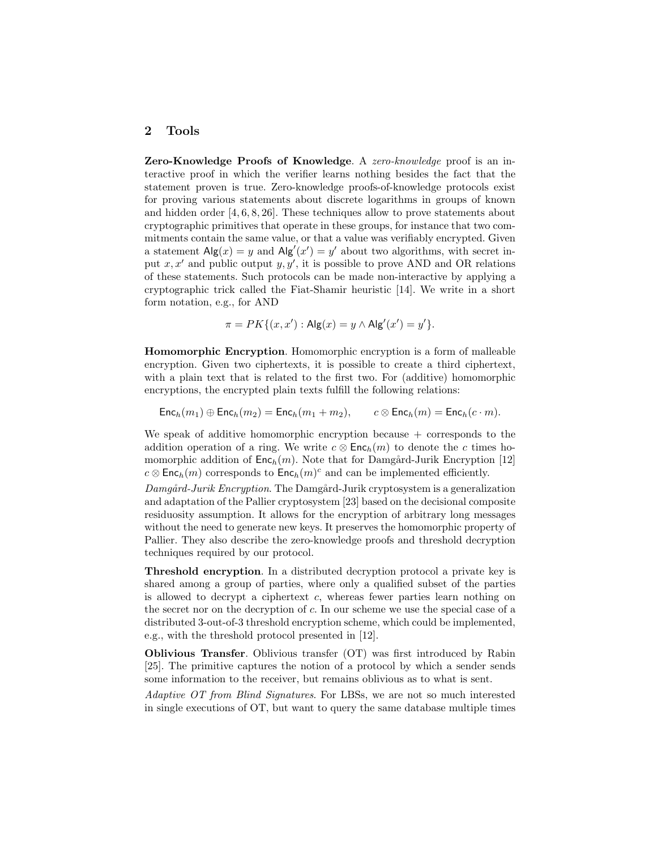# 2 Tools

**Zero-Knowledge Proofs of Knowledge.** A zero-knowledge proof is an interactive proof in which the verifier learns nothing besides the fact that the statement proven is true. Zero-knowledge proofs-of-knowledge protocols exist for proving various statements about discrete logarithms in groups of known and hidden order [4, 6, 8, 26]. These techniques allow to prove statements about cryptographic primitives that operate in these groups, for instance that two commitments contain the same value, or that a value was verifiably encrypted. Given a statement  $\mathsf{Alg}(x) = y$  and  $\mathsf{Alg}'(x') = y'$  about two algorithms, with secret input  $x, x'$  and public output  $y, y'$ , it is possible to prove AND and OR relations of these statements. Such protocols can be made non-interactive by applying a cryptographic trick called the Fiat-Shamir heuristic [14]. We write in a short form notation, e.g., for AND

$$
\pi = PK\{(x, x'): \mathsf{Alg}(x) = y \land \mathsf{Alg}'(x') = y'\}.
$$

Homomorphic Encryption. Homomorphic encryption is a form of malleable encryption. Given two ciphertexts, it is possible to create a third ciphertext, with a plain text that is related to the first two. For (additive) homomorphic encryptions, the encrypted plain texts fulfill the following relations:

$$
\mathsf{Enc}_h(m_1) \oplus \mathsf{Enc}_h(m_2) = \mathsf{Enc}_h(m_1 + m_2), \qquad c \otimes \mathsf{Enc}_h(m) = \mathsf{Enc}_h(c \cdot m).
$$

We speak of additive homomorphic encryption because  $+$  corresponds to the addition operation of a ring. We write  $c \otimes \mathsf{Enc}_h(m)$  to denote the c times homomorphic addition of  $\mathsf{Enc}_h(m)$ . Note that for Damgård-Jurik Encryption [12]  $c \otimes \mathsf{Enc}_h(m)$  corresponds to  $\mathsf{Enc}_h(m)^c$  and can be implemented efficiently.

 $Damg\^a$ rd-Jurik Encryption. The Damgård-Jurik cryptosystem is a generalization and adaptation of the Pallier cryptosystem [23] based on the decisional composite residuosity assumption. It allows for the encryption of arbitrary long messages without the need to generate new keys. It preserves the homomorphic property of Pallier. They also describe the zero-knowledge proofs and threshold decryption techniques required by our protocol.

Threshold encryption. In a distributed decryption protocol a private key is shared among a group of parties, where only a qualified subset of the parties is allowed to decrypt a ciphertext  $c$ , whereas fewer parties learn nothing on the secret nor on the decryption of c. In our scheme we use the special case of a distributed 3-out-of-3 threshold encryption scheme, which could be implemented, e.g., with the threshold protocol presented in [12].

Oblivious Transfer. Oblivious transfer (OT) was first introduced by Rabin [25]. The primitive captures the notion of a protocol by which a sender sends some information to the receiver, but remains oblivious as to what is sent.

Adaptive OT from Blind Signatures. For LBSs, we are not so much interested in single executions of OT, but want to query the same database multiple times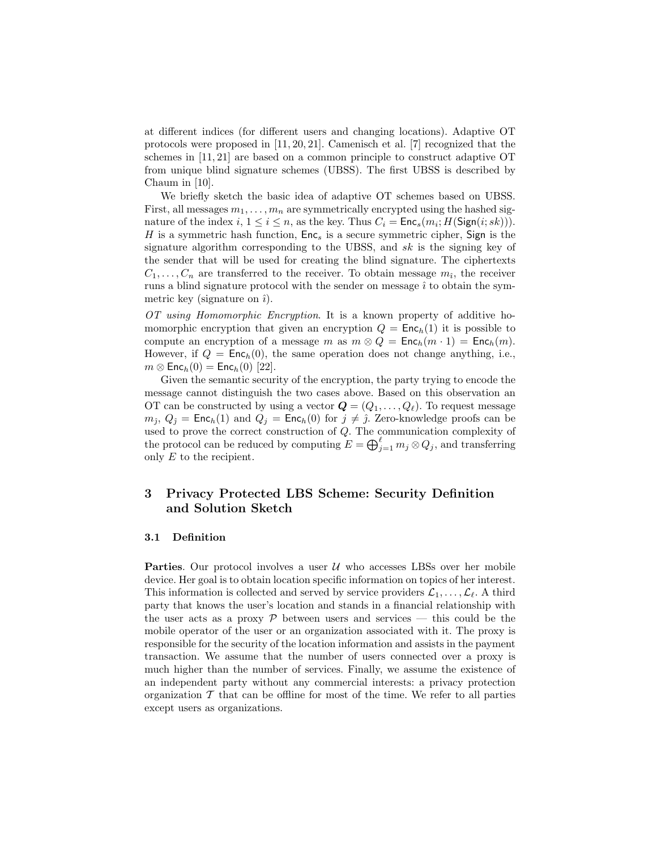at different indices (for different users and changing locations). Adaptive OT protocols were proposed in [11, 20, 21]. Camenisch et al. [7] recognized that the schemes in [11, 21] are based on a common principle to construct adaptive OT from unique blind signature schemes (UBSS). The first UBSS is described by Chaum in [10].

We briefly sketch the basic idea of adaptive OT schemes based on UBSS. First, all messages  $m_1, \ldots, m_n$  are symmetrically encrypted using the hashed signature of the index  $i, 1 \leq i \leq n$ , as the key. Thus  $C_i = \textsf{Enc}_s(m_i; H(\textsf{Sign}(i; sk)))$ . H is a symmetric hash function,  $Enc<sub>s</sub>$  is a secure symmetric cipher, Sign is the signature algorithm corresponding to the UBSS, and  $sk$  is the signing key of the sender that will be used for creating the blind signature. The ciphertexts  $C_1, \ldots, C_n$  are transferred to the receiver. To obtain message  $m_i$ , the receiver runs a blind signature protocol with the sender on message  $\hat{i}$  to obtain the symmetric key (signature on  $\hat{i}$ ).

OT using Homomorphic Encryption. It is a known property of additive homomorphic encryption that given an encryption  $Q = \text{Enc}_{h}(1)$  it is possible to compute an encryption of a message m as  $m \otimes Q = \text{Enc}_h(m \cdot 1) = \text{Enc}_h(m)$ . However, if  $Q = \text{Enc}_h(0)$ , the same operation does not change anything, i.e.,  $m \otimes \mathsf{Enc}_h(0) = \mathsf{Enc}_h(0)$  [22].

Given the semantic security of the encryption, the party trying to encode the message cannot distinguish the two cases above. Based on this observation an OT can be constructed by using a vector  $\mathbf{Q} = (Q_1, \ldots, Q_\ell)$ . To request message  $m_{\hat{j}}, Q_{\hat{j}} = \text{Enc}_h(1)$  and  $Q_j = \text{Enc}_h(0)$  for  $j \neq \hat{j}$ . Zero-knowledge proofs can be used to prove the correct construction of Q. The communication complexity of the protocol can be reduced by computing  $E = \bigoplus_{j=1}^{\ell} m_j \otimes Q_j$ , and transferring only  $E$  to the recipient.

# 3 Privacy Protected LBS Scheme: Security Definition and Solution Sketch

### 3.1 Definition

**Parties.** Our protocol involves a user  $U$  who accesses LBSs over her mobile device. Her goal is to obtain location specific information on topics of her interest. This information is collected and served by service providers  $\mathcal{L}_1, \ldots, \mathcal{L}_\ell$ . A third party that knows the user's location and stands in a financial relationship with the user acts as a proxy  $P$  between users and services — this could be the mobile operator of the user or an organization associated with it. The proxy is responsible for the security of the location information and assists in the payment transaction. We assume that the number of users connected over a proxy is much higher than the number of services. Finally, we assume the existence of an independent party without any commercial interests: a privacy protection organization  $\mathcal T$  that can be offline for most of the time. We refer to all parties except users as organizations.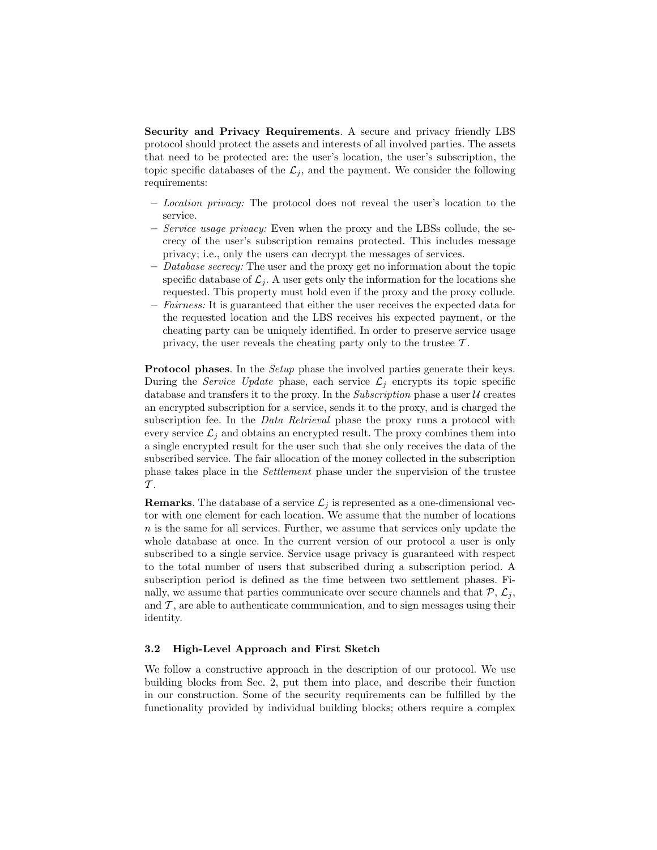Security and Privacy Requirements. A secure and privacy friendly LBS protocol should protect the assets and interests of all involved parties. The assets that need to be protected are: the user's location, the user's subscription, the topic specific databases of the  $\mathcal{L}_j$ , and the payment. We consider the following requirements:

- Location privacy: The protocol does not reveal the user's location to the service.
- Service usage privacy: Even when the proxy and the LBSs collude, the secrecy of the user's subscription remains protected. This includes message privacy; i.e., only the users can decrypt the messages of services.
- $-$  *Database secrecy:* The user and the proxy get no information about the topic specific database of  $\mathcal{L}_i$ . A user gets only the information for the locations she requested. This property must hold even if the proxy and the proxy collude.
- Fairness: It is guaranteed that either the user receives the expected data for the requested location and the LBS receives his expected payment, or the cheating party can be uniquely identified. In order to preserve service usage privacy, the user reveals the cheating party only to the trustee  $\mathcal{T}$ .

**Protocol phases.** In the *Setup* phase the involved parties generate their keys. During the *Service Update* phase, each service  $\mathcal{L}_j$  encrypts its topic specific database and transfers it to the proxy. In the Subscription phase a user  $U$  creates an encrypted subscription for a service, sends it to the proxy, and is charged the subscription fee. In the *Data Retrieval* phase the proxy runs a protocol with every service  $\mathcal{L}_i$  and obtains an encrypted result. The proxy combines them into a single encrypted result for the user such that she only receives the data of the subscribed service. The fair allocation of the money collected in the subscription phase takes place in the Settlement phase under the supervision of the trustee  $\mathcal T$ .

**Remarks**. The database of a service  $\mathcal{L}_j$  is represented as a one-dimensional vector with one element for each location. We assume that the number of locations n is the same for all services. Further, we assume that services only update the whole database at once. In the current version of our protocol a user is only subscribed to a single service. Service usage privacy is guaranteed with respect to the total number of users that subscribed during a subscription period. A subscription period is defined as the time between two settlement phases. Finally, we assume that parties communicate over secure channels and that  $\mathcal{P}, \mathcal{L}_i$ , and  $\mathcal T$ , are able to authenticate communication, and to sign messages using their identity.

### 3.2 High-Level Approach and First Sketch

We follow a constructive approach in the description of our protocol. We use building blocks from Sec. 2, put them into place, and describe their function in our construction. Some of the security requirements can be fulfilled by the functionality provided by individual building blocks; others require a complex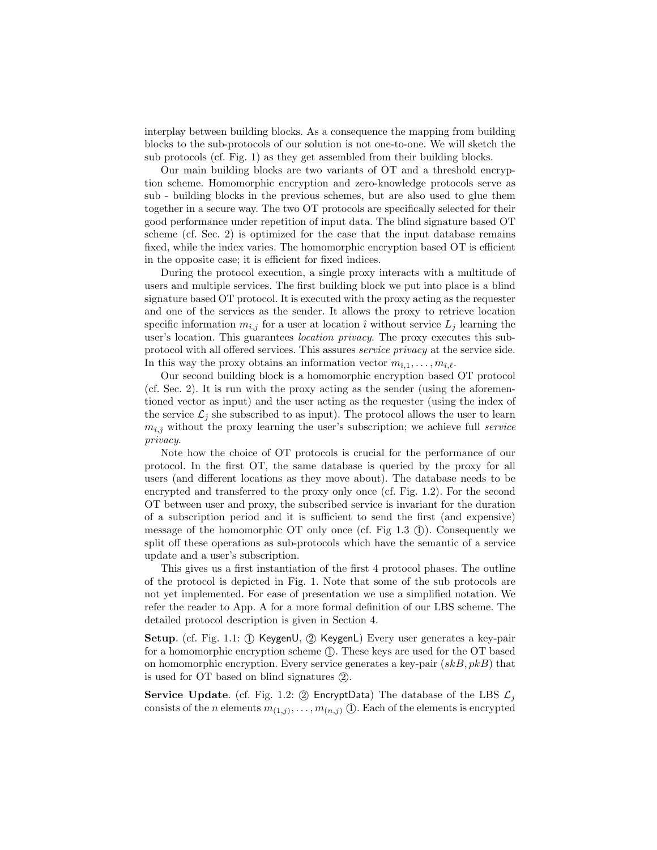interplay between building blocks. As a consequence the mapping from building blocks to the sub-protocols of our solution is not one-to-one. We will sketch the sub protocols (cf. Fig. 1) as they get assembled from their building blocks.

Our main building blocks are two variants of OT and a threshold encryption scheme. Homomorphic encryption and zero-knowledge protocols serve as sub - building blocks in the previous schemes, but are also used to glue them together in a secure way. The two OT protocols are specifically selected for their good performance under repetition of input data. The blind signature based OT scheme (cf. Sec. 2) is optimized for the case that the input database remains fixed, while the index varies. The homomorphic encryption based OT is efficient in the opposite case; it is efficient for fixed indices.

During the protocol execution, a single proxy interacts with a multitude of users and multiple services. The first building block we put into place is a blind signature based OT protocol. It is executed with the proxy acting as the requester and one of the services as the sender. It allows the proxy to retrieve location specific information  $m_{i,j}$  for a user at location  $\hat{i}$  without service  $L_i$  learning the user's location. This guarantees location privacy. The proxy executes this subprotocol with all offered services. This assures service privacy at the service side. In this way the proxy obtains an information vector  $m_{\hat{i},1}, \ldots, m_{\hat{i},\ell}$ .

Our second building block is a homomorphic encryption based OT protocol (cf. Sec. 2). It is run with the proxy acting as the sender (using the aforementioned vector as input) and the user acting as the requester (using the index of the service  $\mathcal{L}_{\hat{\jmath}}$  she subscribed to as input). The protocol allows the user to learn  $m_{\hat{i},\hat{j}}$  without the proxy learning the user's subscription; we achieve full service privacy.

Note how the choice of OT protocols is crucial for the performance of our protocol. In the first OT, the same database is queried by the proxy for all users (and different locations as they move about). The database needs to be encrypted and transferred to the proxy only once (cf. Fig. 1.2). For the second OT between user and proxy, the subscribed service is invariant for the duration of a subscription period and it is sufficient to send the first (and expensive) message of the homomorphic OT only once (cf. Fig  $1.3 \text{ (I)}$ ). Consequently we split off these operations as sub-protocols which have the semantic of a service update and a user's subscription.

This gives us a first instantiation of the first 4 protocol phases. The outline of the protocol is depicted in Fig. 1. Note that some of the sub protocols are not yet implemented. For ease of presentation we use a simplified notation. We refer the reader to App. A for a more formal definition of our LBS scheme. The detailed protocol description is given in Section 4.

Setup. (cf. Fig. 1.1: 1) KeygenU, 2) KeygenL) Every user generates a key-pair for a homomorphic encryption scheme (1). These keys are used for the OT based on homomorphic encryption. Every service generates a key-pair  $(skB, pkB)$  that is used for OT based on blind signatures  $(2)$ .

Service Update. (cf. Fig. 1.2: 2) EncryptData) The database of the LBS  $\mathcal{L}_i$ consists of the *n* elements  $m_{(1,j)}, \ldots, m_{(n,j)}$  (1). Each of the elements is encrypted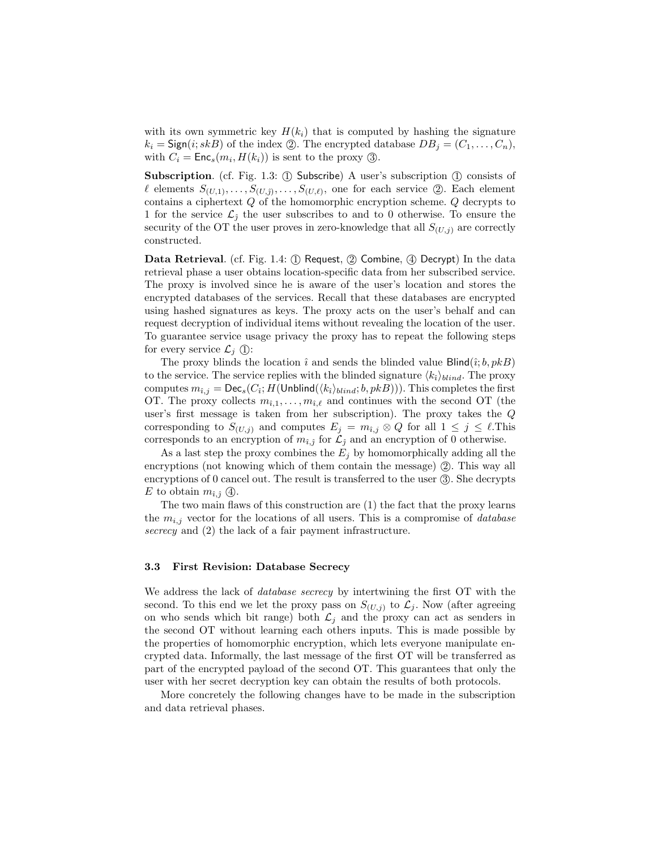with its own symmetric key  $H(k_i)$  that is computed by hashing the signature  $k_i =$  Sign(i; skB) of the index 2. The encrypted database  $DB_j = (C_1, \ldots, C_n)$ , with  $C_i = \mathsf{Enc}_s(m_i, H(k_i))$  is sent to the proxy 3.

Subscription. (cf. Fig. 1.3: 1) Subscribe) A user's subscription 1 consists of  $\ell$  elements  $S_{(U,1)},\ldots,S_{(U,i)},\ldots,S_{(U,\ell)}$ , one for each service 2. Each element contains a ciphertext Q of the homomorphic encryption scheme. Q decrypts to 1 for the service  $\mathcal{L}_{\hat{\jmath}}$  the user subscribes to and to 0 otherwise. To ensure the security of the OT the user proves in zero-knowledge that all  $S_{(U,i)}$  are correctly constructed.

Data Retrieval. (cf. Fig. 1.4: 1) Request, 2) Combine, 4) Decrypt) In the data retrieval phase a user obtains location-specific data from her subscribed service. The proxy is involved since he is aware of the user's location and stores the encrypted databases of the services. Recall that these databases are encrypted using hashed signatures as keys. The proxy acts on the user's behalf and can request decryption of individual items without revealing the location of the user. To guarantee service usage privacy the proxy has to repeat the following steps for every service  $\mathcal{L}_i$  (1):

The proxy blinds the location  $\hat{\imath}$  and sends the blinded value Blind $(\hat{\imath}; b, pkB)$ to the service. The service replies with the blinded signature  $\langle k_i \rangle_{blind}$ . The proxy computes  $m_{\hat{i},j} = \mathsf{Dec}_s(C_{\hat{i}}; H(\mathsf{Unblind}(\langle k_{\hat{i}} \rangle_{blind}; b, pkB))).$  This completes the first OT. The proxy collects  $m_{i,1}, \ldots, m_{i,\ell}$  and continues with the second OT (the user's first message is taken from her subscription). The proxy takes the Q corresponding to  $S_{(U,j)}$  and computes  $E_j = m_{i,j} \otimes Q$  for all  $1 \leq j \leq \ell$ . This corresponds to an encryption of  $m_{\hat{i},\hat{j}}$  for  $\mathcal{L}_{\hat{j}}$  and an encryption of 0 otherwise.

As a last step the proxy combines the  $E_i$  by homomorphically adding all the encryptions (not knowing which of them contain the message)  $(2)$ . This way all encryptions of  $0$  cancel out. The result is transferred to the user  $(3)$ . She decrypts E to obtain  $m_{\hat{i},\hat{j}}(\hat{4})$ .

The two main flaws of this construction are (1) the fact that the proxy learns the  $m_{i,j}$  vector for the locations of all users. This is a compromise of *database* secrecy and  $(2)$  the lack of a fair payment infrastructure.

### 3.3 First Revision: Database Secrecy

We address the lack of *database secrecy* by intertwining the first OT with the second. To this end we let the proxy pass on  $S_{(U,j)}$  to  $\mathcal{L}_j$ . Now (after agreeing on who sends which bit range) both  $\mathcal{L}_j$  and the proxy can act as senders in the second OT without learning each others inputs. This is made possible by the properties of homomorphic encryption, which lets everyone manipulate encrypted data. Informally, the last message of the first OT will be transferred as part of the encrypted payload of the second OT. This guarantees that only the user with her secret decryption key can obtain the results of both protocols.

More concretely the following changes have to be made in the subscription and data retrieval phases.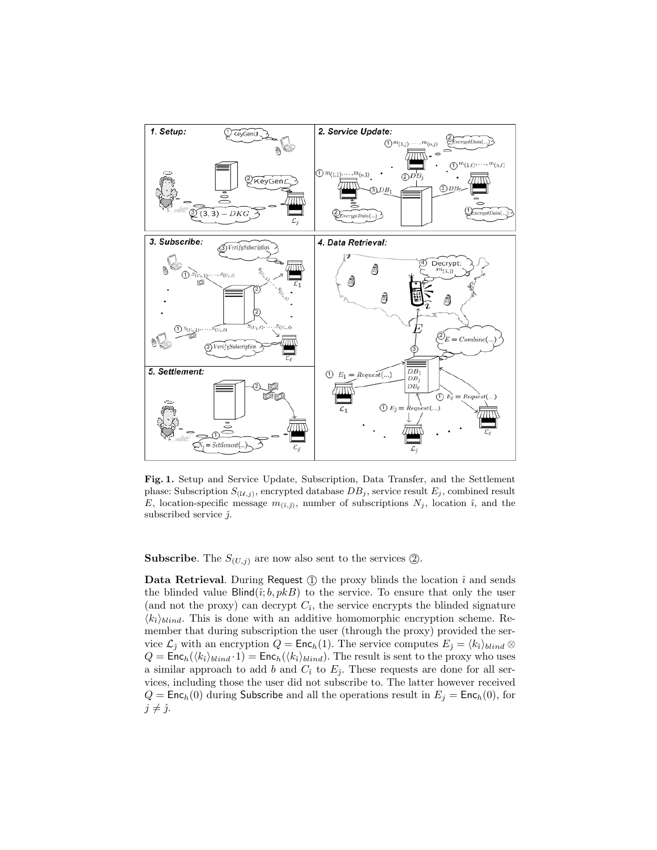

Fig. 1. Setup and Service Update, Subscription, Data Transfer, and the Settlement phase: Subscription  $S_{(\mathcal{U},j)}$ , encrypted database  $DB_j$ , service result  $E_j$ , combined result E, location-specific message  $m_{(\hat{i},\hat{j})}$ , number of subscriptions  $N_j$ , location  $\hat{i}$ , and the subscribed service  $\hat{j}$ .

**Subscribe.** The  $S_{(U,j)}$  are now also sent to the services  $\circled{2}$ .

Data Retrieval. During Request  $(1)$  the proxy blinds the location  $\hat{i}$  and sends the blinded value  $\textsf{Blind}(\hat{\imath}; b, pkB)$  to the service. To ensure that only the user (and not the proxy) can decrypt  $C_i$ , the service encrypts the blinded signature  $\langle k_i \rangle_{blind}$ . This is done with an additive homomorphic encryption scheme. Remember that during subscription the user (through the proxy) provided the service  $\mathcal{L}_j$  with an encryption  $Q = \mathsf{Enc}_h(1)$ . The service computes  $E_j = \langle k_i \rangle_{blind} \otimes$  $Q = \mathsf{Enc}_h(\langle k_i \rangle_{blind} \cdot 1) = \mathsf{Enc}_h(\langle k_i \rangle_{blind})$ . The result is sent to the proxy who uses a similar approach to add b and  $C_i$  to  $E_j$ . These requests are done for all services, including those the user did not subscribe to. The latter however received  $Q = \mathsf{Enc}_h(0)$  during Subscribe and all the operations result in  $E_j = \mathsf{Enc}_h(0)$ , for  $j \neq \hat{j}$ .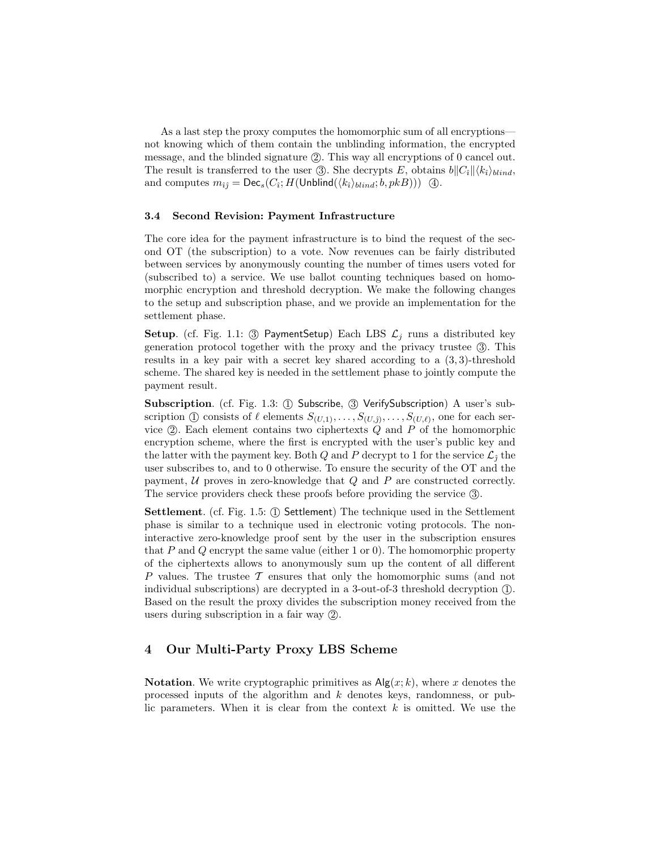As a last step the proxy computes the homomorphic sum of all encryptions not knowing which of them contain the unblinding information, the encrypted message, and the blinded signature  $(2)$ . This way all encryptions of 0 cancel out. The result is transferred to the user  $\circled{3}$ . She decrypts E, obtains  $b||C_i||\langle k_i \rangle_{blind}$ , and computes  $m_{\hat{i}\hat{j}} = \textsf{Dec}_s(C_{\hat{i}}; H(\textsf{Unblind}(\langle k_{\hat{i}} \rangle_{blind}; b, pkB)))$  (4).

### 3.4 Second Revision: Payment Infrastructure

The core idea for the payment infrastructure is to bind the request of the second OT (the subscription) to a vote. Now revenues can be fairly distributed between services by anonymously counting the number of times users voted for (subscribed to) a service. We use ballot counting techniques based on homomorphic encryption and threshold decryption. We make the following changes to the setup and subscription phase, and we provide an implementation for the settlement phase.

**Setup.** (cf. Fig. 1.1:  $\circled{3}$  PaymentSetup) Each LBS  $\mathcal{L}_i$  runs a distributed key generation protocol together with the proxy and the privacy trustee  $(3)$ . This results in a key pair with a secret key shared according to a (3, 3)-threshold scheme. The shared key is needed in the settlement phase to jointly compute the payment result.

Subscription. (cf. Fig. 1.3: 1) Subscribe, 3 VerifySubscription) A user's subscription (1) consists of  $\ell$  elements  $S_{(U,1)}, \ldots, S_{(U,j)}, \ldots, S_{(U,\ell)}$ , one for each service  $(2)$ . Each element contains two ciphertexts  $Q$  and  $P$  of the homomorphic encryption scheme, where the first is encrypted with the user's public key and the latter with the payment key. Both Q and P decrypt to 1 for the service  $\mathcal{L}_{\hat{\jmath}}$  the user subscribes to, and to 0 otherwise. To ensure the security of the OT and the payment,  $U$  proves in zero-knowledge that  $Q$  and  $P$  are constructed correctly. The service providers check these proofs before providing the service  $\circled{3}$ .

Settlement. (cf. Fig. 1.5: 1) Settlement) The technique used in the Settlement phase is similar to a technique used in electronic voting protocols. The noninteractive zero-knowledge proof sent by the user in the subscription ensures that P and Q encrypt the same value (either 1 or 0). The homomorphic property of the ciphertexts allows to anonymously sum up the content of all different P values. The trustee  $\mathcal T$  ensures that only the homomorphic sums (and not individual subscriptions) are decrypted in a  $3$ -out-of-3 threshold decryption  $(1)$ . Based on the result the proxy divides the subscription money received from the users during subscription in a fair way  $(2)$ .

# 4 Our Multi-Party Proxy LBS Scheme

**Notation.** We write cryptographic primitives as  $\mathsf{Alg}(x; k)$ , where x denotes the processed inputs of the algorithm and  $k$  denotes keys, randomness, or public parameters. When it is clear from the context  $k$  is omitted. We use the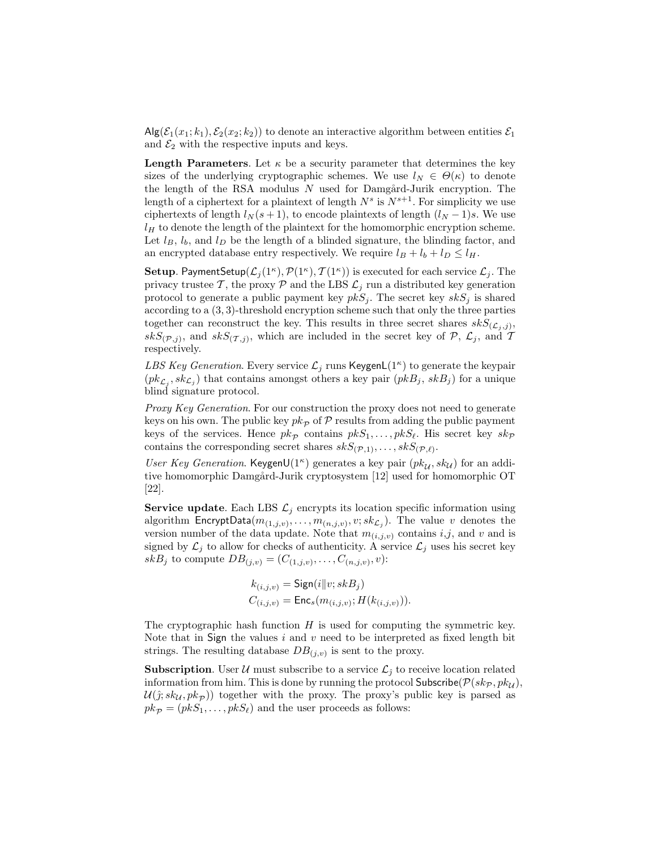$\mathsf{Alg}(\mathcal{E}_1(x_1; k_1), \mathcal{E}_2(x_2; k_2))$  to denote an interactive algorithm between entities  $\mathcal{E}_1$ and  $\mathcal{E}_2$  with the respective inputs and keys.

**Length Parameters.** Let  $\kappa$  be a security parameter that determines the key sizes of the underlying cryptographic schemes. We use  $l_N \in \Theta(\kappa)$  to denote the length of the RSA modulus  $N$  used for Damgård-Jurik encryption. The length of a ciphertext for a plaintext of length  $N^s$  is  $N^{s+1}$ . For simplicity we use ciphertexts of length  $l_N(s + 1)$ , to encode plaintexts of length  $(l_N - 1)s$ . We use  $l_H$  to denote the length of the plaintext for the homomorphic encryption scheme. Let  $l_B$ ,  $l_b$ , and  $l_D$  be the length of a blinded signature, the blinding factor, and an encrypted database entry respectively. We require  $l_B + l_b + l_D \leq l_H$ .

**Setup**. PaymentSetup $(\mathcal{L}_j(1^{\kappa}), \mathcal{P}(1^{\kappa}), \mathcal{T}(1^{\kappa}))$  is executed for each service  $\mathcal{L}_j$ . The privacy trustee T, the proxy P and the LBS  $\mathcal{L}_i$  run a distributed key generation protocol to generate a public payment key  $pkS_j$ . The secret key  $skS_j$  is shared according to a (3, 3)-threshold encryption scheme such that only the three parties together can reconstruct the key. This results in three secret shares  $skS_{(\mathcal{L}_j,j)},$  $skS_{(\mathcal{P},j)}$ , and  $skS_{(\mathcal{T},j)}$ , which are included in the secret key of  $\mathcal{P}, \mathcal{L}_j$ , and T respectively.

LBS Key Generation. Every service  $\mathcal{L}_j$  runs KeygenL(1<sup> $\kappa$ </sup>) to generate the keypair  $(pk_{\mathcal{L}_j}, sk_{\mathcal{L}_j})$  that contains amongst others a key pair  $(pkB_j, skB_j)$  for a unique blind signature protocol.

Proxy Key Generation. For our construction the proxy does not need to generate keys on his own. The public key  $pk_{\mathcal{D}}$  of P results from adding the public payment keys of the services. Hence  $pk_{\mathcal{P}}$  contains  $pkS_1, \ldots, pkS_\ell$ . His secret key  $sk_{\mathcal{P}}$ contains the corresponding secret shares  $skS_{(\mathcal{P},1)}, \ldots, skS_{(\mathcal{P},\ell)}$ .

User Key Generation. Keygen $U(1^{\kappa})$  generates a key pair  $(pk_{\mathcal{U}}, sk_{\mathcal{U}})$  for an additive homomorphic Damgård-Jurik cryptosystem [12] used for homomorphic OT [22].

**Service update**. Each LBS  $\mathcal{L}_j$  encrypts its location specific information using algorithm  $\mathsf{EncryptData}(m_{(1,j,v)}, \ldots, m_{(n,j,v)}, v; sk_{\mathcal{L}_j}).$  The value  $v$  denotes the version number of the data update. Note that  $m_{(i,j,v)}$  contains  $i,j$ , and v and is signed by  $\mathcal{L}_j$  to allow for checks of authenticity. A service  $\mathcal{L}_j$  uses his secret key  $skB_j$  to compute  $DB_{(j,v)} = (C_{(1,j,v)}, \ldots, C_{(n,j,v)}, v)$ :

$$
k_{(i,j,v)} = \text{Sign}(i||v; skB_j)
$$
  

$$
C_{(i,j,v)} = \text{Enc}_s(m_{(i,j,v)}; H(k_{(i,j,v)})).
$$

The cryptographic hash function  $H$  is used for computing the symmetric key. Note that in Sign the values  $i$  and  $v$  need to be interpreted as fixed length bit strings. The resulting database  $DB_{(j,v)}$  is sent to the proxy.

**Subscription**. User U must subscribe to a service  $\mathcal{L}_j$  to receive location related information from him. This is done by running the protocol Subscribe( $\mathcal{P}(sk_{\mathcal{P}}, \mathit{pk}_{\mathcal{U}})$ ,  $U(j; sk_{\mathcal{U}}, pk_{\mathcal{P}})$  together with the proxy. The proxy's public key is parsed as  $pk_{\mathcal{P}} = (pkS_1, \ldots, pkS_\ell)$  and the user proceeds as follows: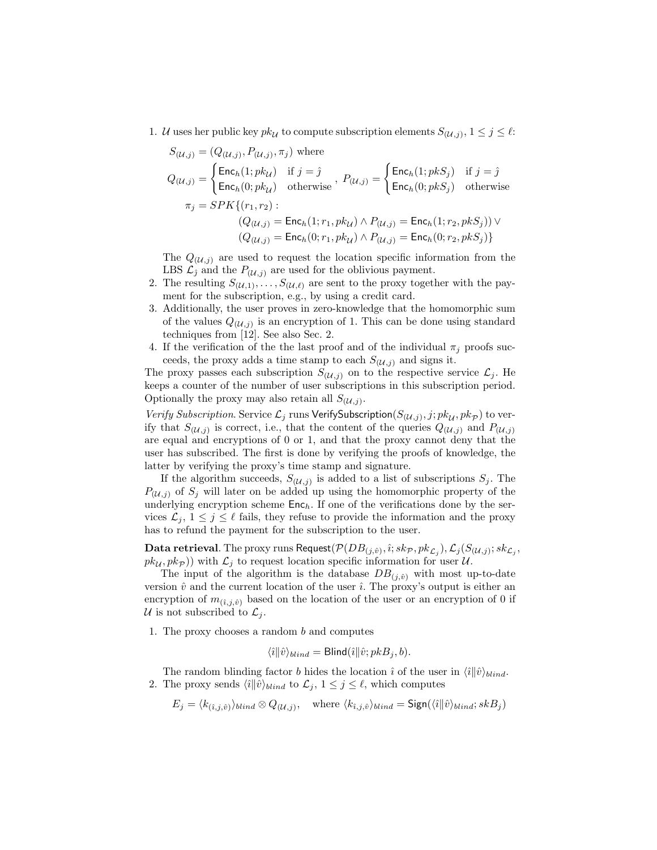1. U uses her public key  $pk_{\mathcal{U}}$  to compute subscription elements  $S_{(\mathcal{U},j)}, 1 \leq j \leq \ell$ :

$$
S_{(\mathcal{U},j)} = (Q_{(\mathcal{U},j)}, P_{(\mathcal{U},j)}, \pi_j) \text{ where}
$$
\n
$$
Q_{(\mathcal{U},j)} = \begin{cases} \text{Enc}_{h}(1; pk_{\mathcal{U}}) & \text{if } j = \hat{j} \\ \text{Enc}_{h}(0; pk_{\mathcal{U}}) & \text{otherwise} \end{cases}, P_{(\mathcal{U},j)} = \begin{cases} \text{Enc}_{h}(1; pkS_{j}) & \text{if } j = \hat{j} \\ \text{Enc}_{h}(0; pkS_{j}) & \text{otherwise} \end{cases}
$$
\n
$$
\pi_j = SPK\{(r_1, r_2) : (Q_{(\mathcal{U},j)} = \text{Enc}_{h}(1; r_1, pk_{\mathcal{U}}) \land P_{(\mathcal{U},j)} = \text{Enc}_{h}(1; r_2, pkS_{j})) \lor (Q_{(\mathcal{U},j)} = \text{Enc}_{h}(0; r_1, pk_{\mathcal{U}}) \land P_{(\mathcal{U},j)} = \text{Enc}_{h}(0; r_2, pkS_{j}) \}
$$

The  $Q_{(\mathcal{U},i)}$  are used to request the location specific information from the LBS  $\mathcal{L}_{\hat{\jmath}}$  and the  $P_{(\mathcal{U},j)}$  are used for the oblivious payment.

- 2. The resulting  $S_{(\mathcal{U},1)}, \ldots, S_{(\mathcal{U},\ell)}$  are sent to the proxy together with the payment for the subscription, e.g., by using a credit card.
- 3. Additionally, the user proves in zero-knowledge that the homomorphic sum of the values  $Q_{(\mathcal{U},j)}$  is an encryption of 1. This can be done using standard techniques from [12]. See also Sec. 2.
- 4. If the verification of the the last proof and of the individual  $\pi_i$  proofs succeeds, the proxy adds a time stamp to each  $S_{(\mathcal{U},j)}$  and signs it.

The proxy passes each subscription  $S_{(\mathcal{U},j)}$  on to the respective service  $\mathcal{L}_j$ . He keeps a counter of the number of user subscriptions in this subscription period. Optionally the proxy may also retain all  $S_{(\mathcal{U},j)}$ .

Verify Subscription. Service  $\mathcal{L}_j$  runs VerifySubscription( $S_{(\mathcal{U},j)}$ , j;  $pk_{\mathcal{U}}, pk_{\mathcal{P}}$ ) to verify that  $S_{(\mathcal{U},j)}$  is correct, i.e., that the content of the queries  $Q_{(\mathcal{U},j)}$  and  $P_{(\mathcal{U},j)}$ are equal and encryptions of 0 or 1, and that the proxy cannot deny that the user has subscribed. The first is done by verifying the proofs of knowledge, the latter by verifying the proxy's time stamp and signature.

If the algorithm succeeds,  $S_{(\mathcal{U},j)}$  is added to a list of subscriptions  $S_j$ . The  $P_{(\mathcal{U},j)}$  of  $S_j$  will later on be added up using the homomorphic property of the underlying encryption scheme  $Enc_h$ . If one of the verifications done by the services  $\mathcal{L}_j$ ,  $1 \leq j \leq \ell$  fails, they refuse to provide the information and the proxy has to refund the payment for the subscription to the user.

 $\bf{Data \ retrieval}.$  The proxy runs  $\sf{Request}(\mathcal{P}(DB_{(j,\hat{v})},\hat{\imath};sk_\mathcal{P},pk_{\mathcal{L}_j}),\mathcal{L}_j(S_{(\mathcal{U},j)};sk_{\mathcal{L}_j},$  $pk_{\mathcal{U}}, pk_{\mathcal{P}}$ )) with  $\mathcal{L}_j$  to request location specific information for user  $\mathcal{U}$ .

The input of the algorithm is the database  $DB_{(j,\hat{v})}$  with most up-to-date version  $\hat{v}$  and the current location of the user  $\hat{i}$ . The proxy's output is either an encryption of  $m_{(i,i,\hat{v})}$  based on the location of the user or an encryption of 0 if U is not subscribed to  $\mathcal{L}_j$ .

1. The proxy chooses a random b and computes

$$
\langle \hat{\imath} \| \hat{v} \rangle_{blind} = \text{Blind}(\hat{\imath} \| \hat{v}; p k B_j, b).
$$

The random blinding factor b hides the location  $\hat{i}$  of the user in  $\langle \hat{i} | \hat{v} \rangle_{blind}$ . 2. The proxy sends  $\langle \hat{i} | \hat{v} \rangle_{blind}$  to  $\mathcal{L}_j, 1 \leq j \leq \ell$ , which computes

$$
E_j = \langle k_{(\hat{i},j,\hat{v})} \rangle_{blind} \otimes Q_{(\mathcal{U},j)}, \quad \text{where } \langle k_{\hat{i},j,\hat{v}} \rangle_{blind} = \mathsf{Sign}(\langle \hat{i} || \hat{v} \rangle_{blind}; skB_j)
$$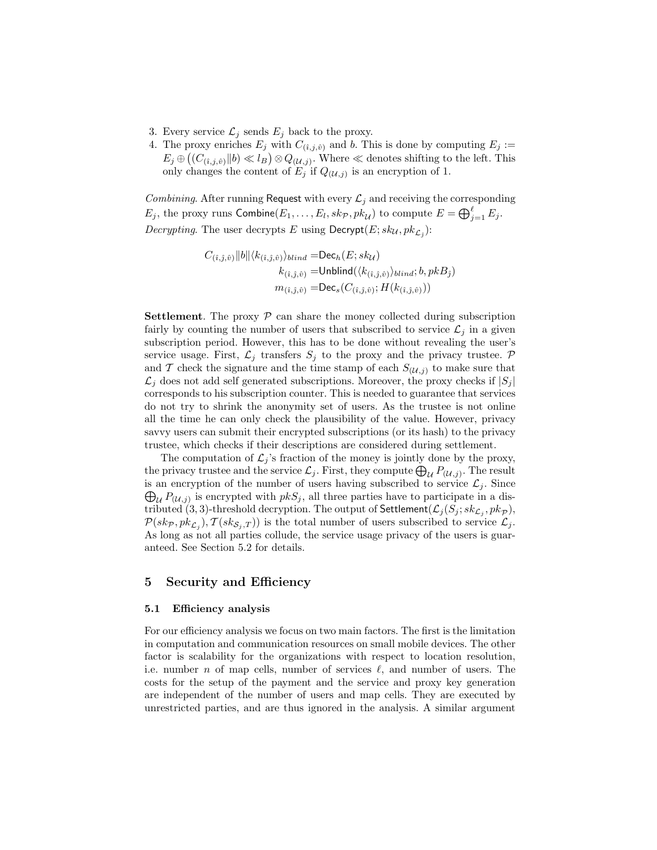- 3. Every service  $\mathcal{L}_j$  sends  $E_j$  back to the proxy.
- 4. The proxy enriches  $E_j$  with  $C_{(\hat{i},j,\hat{v})}$  and b. This is done by computing  $E_j :=$  $E_j \oplus ((C_{(\hat{i},j,\hat{v})} || b) \ll l_B) \otimes Q_{(\mathcal{U},j)}$ . Where  $\ll$  denotes shifting to the left. This only changes the content of  $E_j$  if  $Q_{(\mathcal{U},j)}$  is an encryption of 1.

Combining. After running Request with every  $\mathcal{L}_j$  and receiving the corresponding  $E_j$ , the proxy runs  ${\sf Combine}(E_1,\ldots,E_l,sk_{\mathcal{P}},pk_{\mathcal{U}})$  to compute  $E=\bigoplus_{j=1}^\ell E_j.$ Decrypting. The user decrypts E using  $\mathsf{Decrypt}(E; sk_\mathcal{U}, pk_{\mathcal{L}_j})$ :

$$
C_{(\hat{i},\hat{j},\hat{v})}||b||\langle k_{(\hat{i},\hat{j},\hat{v})}\rangle_{blind} = \text{Dec}_h(E; sk_\mathcal{U})
$$

$$
k_{(\hat{i},\hat{j},\hat{v})} = \text{Unblind}(\langle k_{(\hat{i},\hat{j},\hat{v})}\rangle_{blind}; b, pkB_{\hat{j}})
$$

$$
m_{(\hat{i},\hat{j},\hat{v})} = \text{Dec}_s(C_{(\hat{i},\hat{j},\hat{v})}; H(k_{(\hat{i},\hat{j},\hat{v})}))
$$

**Settlement**. The proxy  $P$  can share the money collected during subscription fairly by counting the number of users that subscribed to service  $\mathcal{L}_j$  in a given subscription period. However, this has to be done without revealing the user's service usage. First,  $\mathcal{L}_i$  transfers  $S_i$  to the proxy and the privacy trustee. P and T check the signature and the time stamp of each  $S_{(\mathcal{U},j)}$  to make sure that  $\mathcal{L}_i$  does not add self generated subscriptions. Moreover, the proxy checks if  $|S_i|$ corresponds to his subscription counter. This is needed to guarantee that services do not try to shrink the anonymity set of users. As the trustee is not online all the time he can only check the plausibility of the value. However, privacy savvy users can submit their encrypted subscriptions (or its hash) to the privacy trustee, which checks if their descriptions are considered during settlement.

The computation of  $\mathcal{L}_j$ 's fraction of the money is jointly done by the proxy, the privacy trustee and the service  $\mathcal{L}_j$ . First, they compute  $\bigoplus_{\mathcal{U}} P_{(\mathcal{U},j)}$ . The result is an encryption of the number of users having subscribed to service  $\mathcal{L}_j$ . Since  $\bigoplus_{\mathcal{U}} P_{(\mathcal{U},j)}$  is encrypted with  $pkS_j$ , all three parties have to participate in a distributed (3, 3)-threshold decryption. The output of  ${\sf Setlement}(\mathcal{L}_j(S_j; sk_{\mathcal{L}_j}, pk_{\mathcal{P}}),$  $\mathcal{P}(sk_{\mathcal{P}}, \mathit{pk}_{\mathcal{L}_j}), \mathcal{T}(sk_{\mathcal{S}_j},T)$  is the total number of users subscribed to service  $\mathcal{L}_j$ . As long as not all parties collude, the service usage privacy of the users is guaranteed. See Section 5.2 for details.

# 5 Security and Efficiency

#### 5.1 Efficiency analysis

For our efficiency analysis we focus on two main factors. The first is the limitation in computation and communication resources on small mobile devices. The other factor is scalability for the organizations with respect to location resolution, i.e. number n of map cells, number of services  $\ell$ , and number of users. The costs for the setup of the payment and the service and proxy key generation are independent of the number of users and map cells. They are executed by unrestricted parties, and are thus ignored in the analysis. A similar argument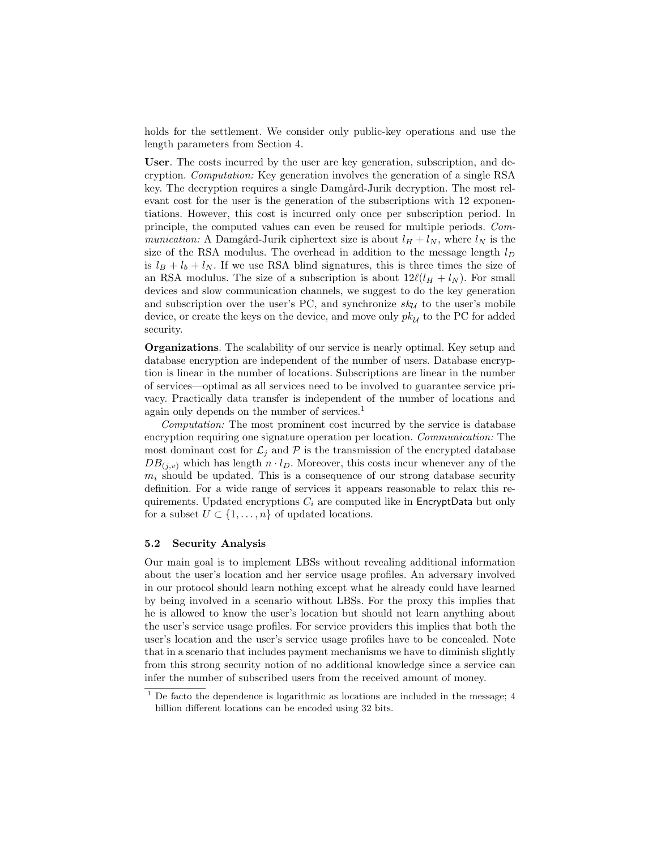holds for the settlement. We consider only public-key operations and use the length parameters from Section 4.

User. The costs incurred by the user are key generation, subscription, and decryption. Computation: Key generation involves the generation of a single RSA key. The decryption requires a single Damgård-Jurik decryption. The most relevant cost for the user is the generation of the subscriptions with 12 exponentiations. However, this cost is incurred only once per subscription period. In principle, the computed values can even be reused for multiple periods. Communication: A Damgård-Jurik ciphertext size is about  $l_H + l_N$ , where  $l_N$  is the size of the RSA modulus. The overhead in addition to the message length  $l_D$ is  $l_B + l_b + l_N$ . If we use RSA blind signatures, this is three times the size of an RSA modulus. The size of a subscription is about  $12\ell(l_H + l_N)$ . For small devices and slow communication channels, we suggest to do the key generation and subscription over the user's PC, and synchronize  $sk_{\mathcal{U}}$  to the user's mobile device, or create the keys on the device, and move only  $pk_{\mathcal{U}}$  to the PC for added security.

Organizations. The scalability of our service is nearly optimal. Key setup and database encryption are independent of the number of users. Database encryption is linear in the number of locations. Subscriptions are linear in the number of services—optimal as all services need to be involved to guarantee service privacy. Practically data transfer is independent of the number of locations and again only depends on the number of services.<sup>1</sup>

Computation: The most prominent cost incurred by the service is database encryption requiring one signature operation per location. Communication: The most dominant cost for  $\mathcal{L}_j$  and  $\mathcal P$  is the transmission of the encrypted database  $DB_{(i,v)}$  which has length  $n \cdot l_D$ . Moreover, this costs incur whenever any of the  $m_i$  should be updated. This is a consequence of our strong database security definition. For a wide range of services it appears reasonable to relax this requirements. Updated encryptions  $C_i$  are computed like in EncryptData but only for a subset  $U \subset \{1, \ldots, n\}$  of updated locations.

### 5.2 Security Analysis

Our main goal is to implement LBSs without revealing additional information about the user's location and her service usage profiles. An adversary involved in our protocol should learn nothing except what he already could have learned by being involved in a scenario without LBSs. For the proxy this implies that he is allowed to know the user's location but should not learn anything about the user's service usage profiles. For service providers this implies that both the user's location and the user's service usage profiles have to be concealed. Note that in a scenario that includes payment mechanisms we have to diminish slightly from this strong security notion of no additional knowledge since a service can infer the number of subscribed users from the received amount of money.

 $1$  De facto the dependence is logarithmic as locations are included in the message; 4 billion different locations can be encoded using 32 bits.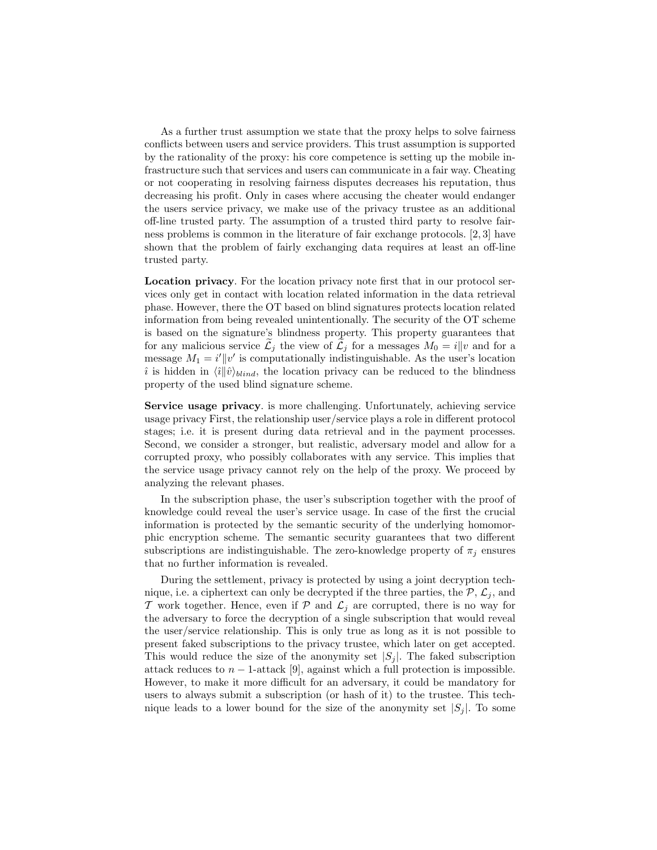As a further trust assumption we state that the proxy helps to solve fairness conflicts between users and service providers. This trust assumption is supported by the rationality of the proxy: his core competence is setting up the mobile infrastructure such that services and users can communicate in a fair way. Cheating or not cooperating in resolving fairness disputes decreases his reputation, thus decreasing his profit. Only in cases where accusing the cheater would endanger the users service privacy, we make use of the privacy trustee as an additional off-line trusted party. The assumption of a trusted third party to resolve fairness problems is common in the literature of fair exchange protocols. [2, 3] have shown that the problem of fairly exchanging data requires at least an off-line trusted party.

Location privacy. For the location privacy note first that in our protocol services only get in contact with location related information in the data retrieval phase. However, there the OT based on blind signatures protects location related information from being revealed unintentionally. The security of the OT scheme is based on the signature's blindness property. This property guarantees that for any malicious service  $\mathcal{L}_j$  the view of  $\mathcal{L}_j$  for a messages  $M_0 = i||v$  and for a message  $M_1 = i' || v'$  is computationally indistinguishable. As the user's location  $\hat{i}$  is hidden in  $\langle \hat{i} | \hat{v} \rangle_{blind}$ , the location privacy can be reduced to the blindness property of the used blind signature scheme.

Service usage privacy. is more challenging. Unfortunately, achieving service usage privacy First, the relationship user/service plays a role in different protocol stages; i.e. it is present during data retrieval and in the payment processes. Second, we consider a stronger, but realistic, adversary model and allow for a corrupted proxy, who possibly collaborates with any service. This implies that the service usage privacy cannot rely on the help of the proxy. We proceed by analyzing the relevant phases.

In the subscription phase, the user's subscription together with the proof of knowledge could reveal the user's service usage. In case of the first the crucial information is protected by the semantic security of the underlying homomorphic encryption scheme. The semantic security guarantees that two different subscriptions are indistinguishable. The zero-knowledge property of  $\pi_i$  ensures that no further information is revealed.

During the settlement, privacy is protected by using a joint decryption technique, i.e. a ciphertext can only be decrypted if the three parties, the  $P$ ,  $\mathcal{L}_i$ , and T work together. Hence, even if P and  $\mathcal{L}_i$  are corrupted, there is no way for the adversary to force the decryption of a single subscription that would reveal the user/service relationship. This is only true as long as it is not possible to present faked subscriptions to the privacy trustee, which later on get accepted. This would reduce the size of the anonymity set  $|S_i|$ . The faked subscription attack reduces to  $n - 1$ -attack [9], against which a full protection is impossible. However, to make it more difficult for an adversary, it could be mandatory for users to always submit a subscription (or hash of it) to the trustee. This technique leads to a lower bound for the size of the anonymity set  $|S_i|$ . To some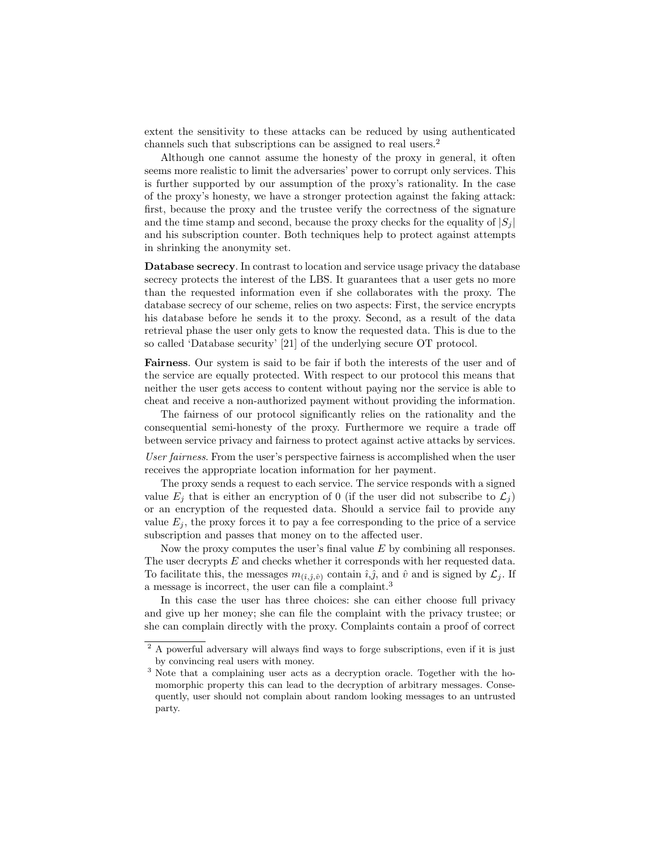extent the sensitivity to these attacks can be reduced by using authenticated channels such that subscriptions can be assigned to real users.<sup>2</sup>

Although one cannot assume the honesty of the proxy in general, it often seems more realistic to limit the adversaries' power to corrupt only services. This is further supported by our assumption of the proxy's rationality. In the case of the proxy's honesty, we have a stronger protection against the faking attack: first, because the proxy and the trustee verify the correctness of the signature and the time stamp and second, because the proxy checks for the equality of  $|S_i|$ and his subscription counter. Both techniques help to protect against attempts in shrinking the anonymity set.

Database secrecy. In contrast to location and service usage privacy the database secrecy protects the interest of the LBS. It guarantees that a user gets no more than the requested information even if she collaborates with the proxy. The database secrecy of our scheme, relies on two aspects: First, the service encrypts his database before he sends it to the proxy. Second, as a result of the data retrieval phase the user only gets to know the requested data. This is due to the so called 'Database security' [21] of the underlying secure OT protocol.

Fairness. Our system is said to be fair if both the interests of the user and of the service are equally protected. With respect to our protocol this means that neither the user gets access to content without paying nor the service is able to cheat and receive a non-authorized payment without providing the information.

The fairness of our protocol significantly relies on the rationality and the consequential semi-honesty of the proxy. Furthermore we require a trade off between service privacy and fairness to protect against active attacks by services.

User fairness. From the user's perspective fairness is accomplished when the user receives the appropriate location information for her payment.

The proxy sends a request to each service. The service responds with a signed value  $E_i$  that is either an encryption of 0 (if the user did not subscribe to  $\mathcal{L}_i$ ) or an encryption of the requested data. Should a service fail to provide any value  $E_i$ , the proxy forces it to pay a fee corresponding to the price of a service subscription and passes that money on to the affected user.

Now the proxy computes the user's final value  $E$  by combining all responses. The user decrypts  $E$  and checks whether it corresponds with her requested data. To facilitate this, the messages  $m_{(\hat{i},\hat{j},\hat{v})}$  contain  $\hat{i},\hat{j}$ , and  $\hat{v}$  and is signed by  $\mathcal{L}_j$ . If a message is incorrect, the user can file a complaint.<sup>3</sup>

In this case the user has three choices: she can either choose full privacy and give up her money; she can file the complaint with the privacy trustee; or she can complain directly with the proxy. Complaints contain a proof of correct

<sup>&</sup>lt;sup>2</sup> A powerful adversary will always find ways to forge subscriptions, even if it is just by convincing real users with money.

<sup>&</sup>lt;sup>3</sup> Note that a complaining user acts as a decryption oracle. Together with the homomorphic property this can lead to the decryption of arbitrary messages. Consequently, user should not complain about random looking messages to an untrusted party.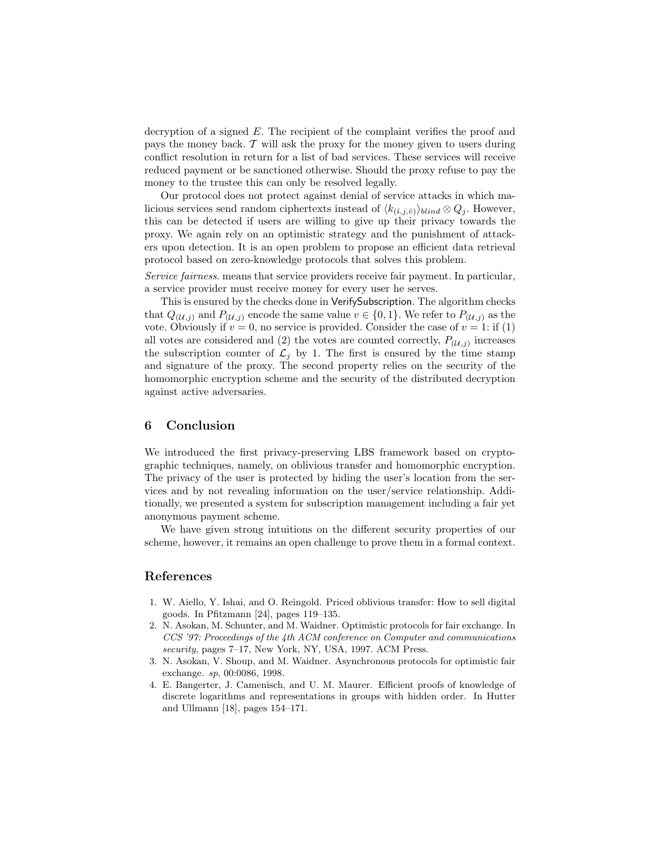decryption of a signed E. The recipient of the complaint verifies the proof and pays the money back.  $\mathcal T$  will ask the proxy for the money given to users during conflict resolution in return for a list of bad services. These services will receive reduced payment or be sanctioned otherwise. Should the proxy refuse to pay the money to the trustee this can only be resolved legally.

Our protocol does not protect against denial of service attacks in which malicious services send random ciphertexts instead of  $\langle k_{(\hat{i},j,\hat{v})}\rangle_{blind} \otimes Q_j$ . However, this can be detected if users are willing to give up their privacy towards the proxy. We again rely on an optimistic strategy and the punishment of attackers upon detection. It is an open problem to propose an efficient data retrieval protocol based on zero-knowledge protocols that solves this problem.

Service fairness. means that service providers receive fair payment. In particular, a service provider must receive money for every user he serves.

This is ensured by the checks done in VerifySubscription. The algorithm checks that  $Q_{(\mathcal{U},j)}$  and  $P_{(\mathcal{U},j)}$  encode the same value  $v \in \{0,1\}$ . We refer to  $P_{(\mathcal{U},j)}$  as the vote. Obviously if  $v = 0$ , no service is provided. Consider the case of  $v = 1$ : if (1) all votes are considered and (2) the votes are counted correctly,  $P_{(\mathcal{U},j)}$  increases the subscription counter of  $\mathcal{L}_j$  by 1. The first is ensured by the time stamp and signature of the proxy. The second property relies on the security of the homomorphic encryption scheme and the security of the distributed decryption against active adversaries.

# 6 Conclusion

We introduced the first privacy-preserving LBS framework based on cryptographic techniques, namely, on oblivious transfer and homomorphic encryption. The privacy of the user is protected by hiding the user's location from the services and by not revealing information on the user/service relationship. Additionally, we presented a system for subscription management including a fair yet anonymous payment scheme.

We have given strong intuitions on the different security properties of our scheme, however, it remains an open challenge to prove them in a formal context.

### References

- 1. W. Aiello, Y. Ishai, and O. Reingold. Priced oblivious transfer: How to sell digital goods. In Pfitzmann [24], pages 119–135.
- 2. N. Asokan, M. Schunter, and M. Waidner. Optimistic protocols for fair exchange. In CCS '97: Proceedings of the 4th ACM conference on Computer and communications security, pages 7–17, New York, NY, USA, 1997. ACM Press.
- 3. N. Asokan, V. Shoup, and M. Waidner. Asynchronous protocols for optimistic fair exchange. sp, 00:0086, 1998.
- 4. E. Bangerter, J. Camenisch, and U. M. Maurer. Efficient proofs of knowledge of discrete logarithms and representations in groups with hidden order. In Hutter and Ullmann [18], pages 154–171.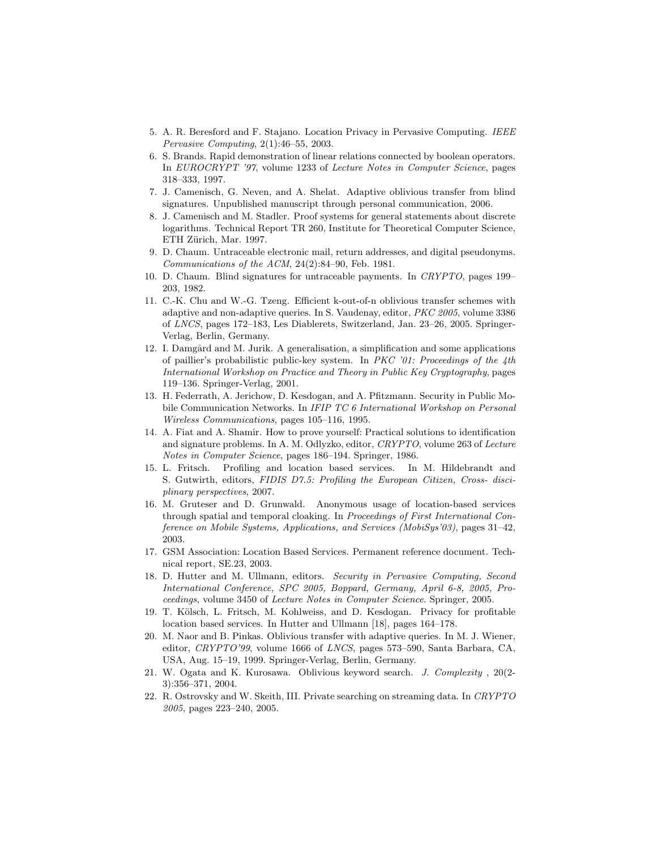- 5. A. R. Beresford and F. Stajano. Location Privacy in Pervasive Computing. IEEE Pervasive Computing, 2(1):46–55, 2003.
- 6. S. Brands. Rapid demonstration of linear relations connected by boolean operators. In EUROCRYPT '97, volume 1233 of Lecture Notes in Computer Science, pages 318–333, 1997.
- 7. J. Camenisch, G. Neven, and A. Shelat. Adaptive oblivious transfer from blind signatures. Unpublished manuscript through personal communication, 2006.
- 8. J. Camenisch and M. Stadler. Proof systems for general statements about discrete logarithms. Technical Report TR 260, Institute for Theoretical Computer Science, ETH Zürich, Mar. 1997.
- 9. D. Chaum. Untraceable electronic mail, return addresses, and digital pseudonyms.  $Communications of the ACM, 24(2):84–90, Feb. 1981.$
- 10. D. Chaum. Blind signatures for untraceable payments. In CRYPTO, pages 199– 203, 1982.
- 11. C.-K. Chu and W.-G. Tzeng. Efficient k-out-of-n oblivious transfer schemes with adaptive and non-adaptive queries. In S. Vaudenay, editor, PKC 2005, volume 3386 of LNCS, pages 172–183, Les Diablerets, Switzerland, Jan. 23–26, 2005. Springer-Verlag, Berlin, Germany.
- 12. I. Damgård and M. Jurik. A generalisation, a simplification and some applications of paillier's probabilistic public-key system. In PKC '01: Proceedings of the  $4th$ International Workshop on Practice and Theory in Public Key Cryptography, pages 119–136. Springer-Verlag, 2001.
- 13. H. Federrath, A. Jerichow, D. Kesdogan, and A. Pfitzmann. Security in Public Mobile Communication Networks. In IFIP TC 6 International Workshop on Personal Wireless Communications, pages 105–116, 1995.
- 14. A. Fiat and A. Shamir. How to prove yourself: Practical solutions to identification and signature problems. In A. M. Odlyzko, editor, CRYPTO, volume 263 of Lecture Notes in Computer Science, pages 186–194. Springer, 1986.
- 15. L. Fritsch. Profiling and location based services. In M. Hildebrandt and S. Gutwirth, editors, FIDIS D7.5: Profiling the European Citizen, Cross- disciplinary perspectives, 2007.
- 16. M. Gruteser and D. Grunwald. Anonymous usage of location-based services through spatial and temporal cloaking. In Proceedings of First International Conference on Mobile Systems, Applications, and Services (MobiSys'03), pages 31–42, 2003.
- 17. GSM Association: Location Based Services. Permanent reference document. Technical report, SE.23, 2003.
- 18. D. Hutter and M. Ullmann, editors. Security in Pervasive Computing, Second International Conference, SPC 2005, Boppard, Germany, April 6-8, 2005, Proceedings, volume 3450 of Lecture Notes in Computer Science. Springer, 2005.
- 19. T. K¨olsch, L. Fritsch, M. Kohlweiss, and D. Kesdogan. Privacy for profitable location based services. In Hutter and Ullmann [18], pages 164–178.
- 20. M. Naor and B. Pinkas. Oblivious transfer with adaptive queries. In M. J. Wiener, editor, CRYPTO'99, volume 1666 of LNCS, pages 573–590, Santa Barbara, CA, USA, Aug. 15–19, 1999. Springer-Verlag, Berlin, Germany.
- 21. W. Ogata and K. Kurosawa. Oblivious keyword search. J. Complexity , 20(2- 3):356–371, 2004.
- 22. R. Ostrovsky and W. Skeith, III. Private searching on streaming data. In CRYPTO 2005, pages 223–240, 2005.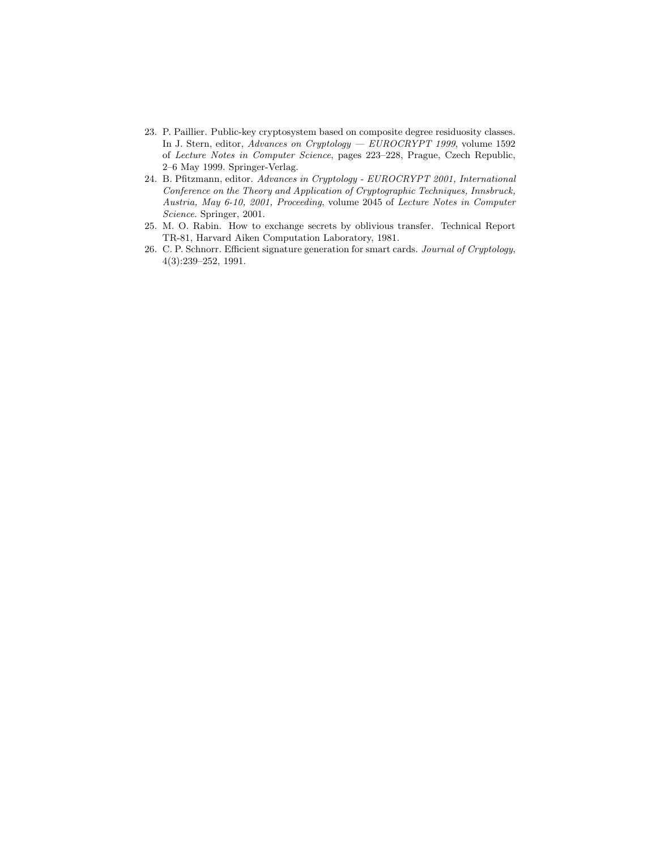- 23. P. Paillier. Public-key cryptosystem based on composite degree residuosity classes. In J. Stern, editor, Advances on Cryptology — EUROCRYPT 1999, volume 1592 of Lecture Notes in Computer Science, pages 223–228, Prague, Czech Republic, 2–6 May 1999. Springer-Verlag.
- 24. B. Pfitzmann, editor. Advances in Cryptology EUROCRYPT 2001, International Conference on the Theory and Application of Cryptographic Techniques, Innsbruck, Austria, May 6-10, 2001, Proceeding, volume 2045 of Lecture Notes in Computer Science. Springer, 2001.
- 25. M. O. Rabin. How to exchange secrets by oblivious transfer. Technical Report TR-81, Harvard Aiken Computation Laboratory, 1981.
- 26. C. P. Schnorr. Efficient signature generation for smart cards. Journal of Cryptology, 4(3):239–252, 1991.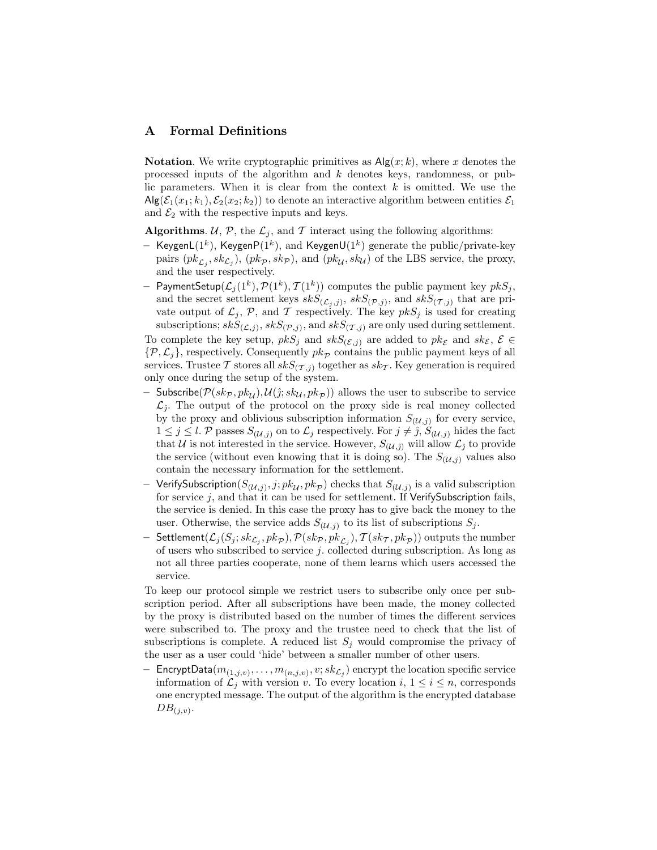# A Formal Definitions

**Notation.** We write cryptographic primitives as  $\mathsf{Alg}(x; k)$ , where x denotes the processed inputs of the algorithm and k denotes keys, randomness, or public parameters. When it is clear from the context  $k$  is omitted. We use the  $\mathsf{Alg}(\mathcal{E}_1(x_1; k_1), \mathcal{E}_2(x_2; k_2))$  to denote an interactive algorithm between entities  $\mathcal{E}_1$ and  $\mathcal{E}_2$  with the respective inputs and keys.

Algorithms.  $U, \mathcal{P}$ , the  $\mathcal{L}_j$ , and  $\mathcal T$  interact using the following algorithms:

- KeygenL $(1^k)$ , Keygen $P(1^k)$ , and Keygen $\mathsf{U}(1^k)$  generate the public/private-key pairs  $(pk_{\mathcal{L}_j}, sk_{\mathcal{L}_j})$ ,  $(pk_{\mathcal{P}}, sk_{\mathcal{P}})$ , and  $(pk_{\mathcal{U}}, sk_{\mathcal{U}})$  of the LBS service, the proxy, and the user respectively.
- PaymentSetup $(\mathcal{L}_j(1^k), \mathcal{P}(1^k), \mathcal{T}(1^k))$  computes the public payment key  $pkS_j$ , and the secret settlement keys  $skS_{(\mathcal{L}_j,j)}, skS_{(\mathcal{P},j)},$  and  $skS_{(\mathcal{T},j)}$  that are private output of  $\mathcal{L}_j$ ,  $\mathcal{P}$ , and  $\mathcal{T}$  respectively. The key  $pkS_j$  is used for creating subscriptions;  $skS_{(\mathcal{L},j)}$ ,  $skS_{(\mathcal{P},j)}$ , and  $skS_{(\mathcal{T},j)}$  are only used during settlement.

To complete the key setup,  $pkS_j$  and  $skS_{(\mathcal{E},j)}$  are added to  $pk_{\mathcal{E}}$  and  $sk_{\mathcal{E}}, \mathcal{E} \in$  $\{\mathcal{P}, \mathcal{L}_j\}$ , respectively. Consequently  $pk_{\mathcal{P}}$  contains the public payment keys of all services. Trustee T stores all  $skS_{(\mathcal{T},j)}$  together as  $sk_{\mathcal{T}}$ . Key generation is required only once during the setup of the system.

- Subscribe( $\mathcal{P}(sk_{\mathcal{P}}, \mathit{pk}_{\mathcal{U}}), \mathcal{U}(\hat{\jmath}; sk_{\mathcal{U}}, \mathit{pk}_{\mathcal{P}})$ ) allows the user to subscribe to service  $\mathcal{L}_{\hat{\jmath}}$ . The output of the protocol on the proxy side is real money collected by the proxy and oblivious subscription information  $S_{(\mathcal{U},j)}$  for every service,  $1 \leq j \leq l$ . P passes  $S_{(\mathcal{U},j)}$  on to  $\mathcal{L}_j$  respectively. For  $j \neq \hat{j}$ ,  $S_{(\mathcal{U},j)}$  hides the fact that U is not interested in the service. However,  $S_{(\mathcal{U},\hat{j})}$  will allow  $\mathcal{L}_{\hat{j}}$  to provide the service (without even knowing that it is doing so). The  $S_{(\mathcal{U},j)}$  values also contain the necessary information for the settlement.
- VerifySubscription $(S_{(\mathcal{U},j)},j;pk_\mathcal{U},pk_\mathcal{P})$  checks that  $S_{(\mathcal{U},j)}$  is a valid subscription for service  $j$ , and that it can be used for settlement. If VerifySubscription fails, the service is denied. In this case the proxy has to give back the money to the user. Otherwise, the service adds  $S_{(\mathcal{U},j)}$  to its list of subscriptions  $S_j$ .
- $-$  Settlement $(\mathcal{L}_j(S_j;sk_{\mathcal{L}_j},pk_\mathcal{P}),\mathcal{P}(sk_\mathcal{P},pk_{\mathcal{L}_j}),\mathcal{T}(sk_\mathcal{T},pk_\mathcal{P}))$  outputs the number of users who subscribed to service j. collected during subscription. As long as not all three parties cooperate, none of them learns which users accessed the service.

To keep our protocol simple we restrict users to subscribe only once per subscription period. After all subscriptions have been made, the money collected by the proxy is distributed based on the number of times the different services were subscribed to. The proxy and the trustee need to check that the list of subscriptions is complete. A reduced list  $S_i$  would compromise the privacy of the user as a user could 'hide' between a smaller number of other users.

 $-$  EncryptData $(m_{(1,j,v)},\ldots,m_{(n,j,v)},v;sk_{{\cal L}_j})$  encrypt the location specific service information of  $\mathcal{L}_j$  with version v. To every location i,  $1 \leq i \leq n$ , corresponds one encrypted message. The output of the algorithm is the encrypted database  $DB_{(j,v)}$ .